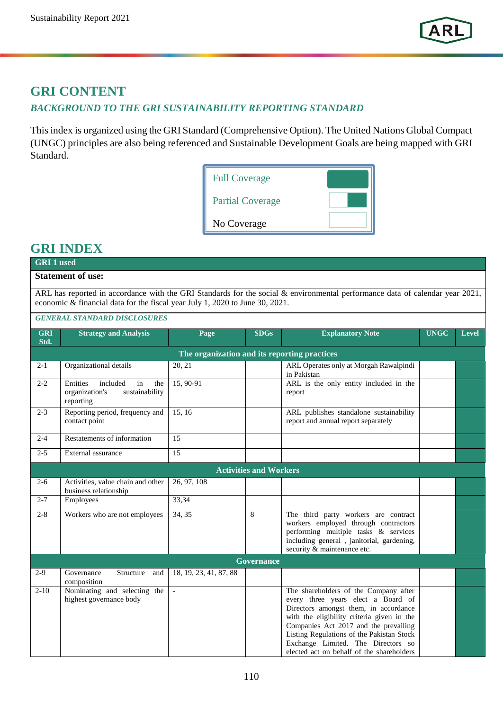

## **GRI CONTENT** *BACKGROUND TO THE GRI SUSTAINABILITY REPORTING STANDARD*

This index is organized using the GRI Standard (Comprehensive Option). The United Nations Global Compact (UNGC) principles are also being referenced and Sustainable Development Goals are being mapped with GRI Standard.

| <b>Full Coverage</b>    |  |
|-------------------------|--|
| <b>Partial Coverage</b> |  |
| No Coverage             |  |

## **GRI INDEX**

## **GRI 1 used Statement of use:**

ARL has reported in accordance with the GRI Standards for the social & environmental performance data of calendar year 2021, economic & financial data for the fiscal year July 1, 2020 to June 30, 2021.

## *GENERAL STANDARD DISCLOSURES*

| <b>GRI</b><br>Std. | <b>Strategy and Analysis</b>                                                       | Page                                         | <b>SDGs</b>                   | <b>Explanatory Note</b>                                                                                                                                                                                                                                                                                                                     | <b>UNGC</b> | Level |
|--------------------|------------------------------------------------------------------------------------|----------------------------------------------|-------------------------------|---------------------------------------------------------------------------------------------------------------------------------------------------------------------------------------------------------------------------------------------------------------------------------------------------------------------------------------------|-------------|-------|
|                    |                                                                                    | The organization and its reporting practices |                               |                                                                                                                                                                                                                                                                                                                                             |             |       |
| $2 - 1$            | Organizational details                                                             | 20, 21                                       |                               | ARL Operates only at Morgah Rawalpindi<br>in Pakistan                                                                                                                                                                                                                                                                                       |             |       |
| $2 - 2$            | Entities<br>included<br>in<br>the<br>sustainability<br>organization's<br>reporting | 15, 90-91                                    |                               | ARL is the only entity included in the<br>report                                                                                                                                                                                                                                                                                            |             |       |
| $2 - 3$            | Reporting period, frequency and<br>contact point                                   | 15, 16                                       |                               | ARL publishes standalone sustainability<br>report and annual report separately                                                                                                                                                                                                                                                              |             |       |
| $2 - 4$            | Restatements of information                                                        | 15                                           |                               |                                                                                                                                                                                                                                                                                                                                             |             |       |
| $2 - 5$            | External assurance                                                                 | 15                                           |                               |                                                                                                                                                                                                                                                                                                                                             |             |       |
|                    |                                                                                    |                                              | <b>Activities and Workers</b> |                                                                                                                                                                                                                                                                                                                                             |             |       |
| $2 - 6$            | Activities, value chain and other<br>business relationship                         | 26, 97, 108                                  |                               |                                                                                                                                                                                                                                                                                                                                             |             |       |
| $2 - 7$            | Employees                                                                          | 33,34                                        |                               |                                                                                                                                                                                                                                                                                                                                             |             |       |
| $2 - 8$            | Workers who are not employees                                                      | 34, 35                                       | 8                             | The third party workers are contract<br>workers employed through contractors<br>performing multiple tasks & services<br>including general, janitorial, gardening,<br>security & maintenance etc.                                                                                                                                            |             |       |
|                    |                                                                                    |                                              | Governance                    |                                                                                                                                                                                                                                                                                                                                             |             |       |
| $2-9$              | Governance<br>Structure<br>and<br>composition                                      | 18, 19, 23, 41, 87, 88                       |                               |                                                                                                                                                                                                                                                                                                                                             |             |       |
| $2 - 10$           | Nominating and selecting the<br>highest governance body                            | $\overline{\phantom{a}}$                     |                               | The shareholders of the Company after<br>every three years elect a Board of<br>Directors amongst them, in accordance<br>with the eligibility criteria given in the<br>Companies Act 2017 and the prevailing<br>Listing Regulations of the Pakistan Stock<br>Exchange Limited. The Directors so<br>elected act on behalf of the shareholders |             |       |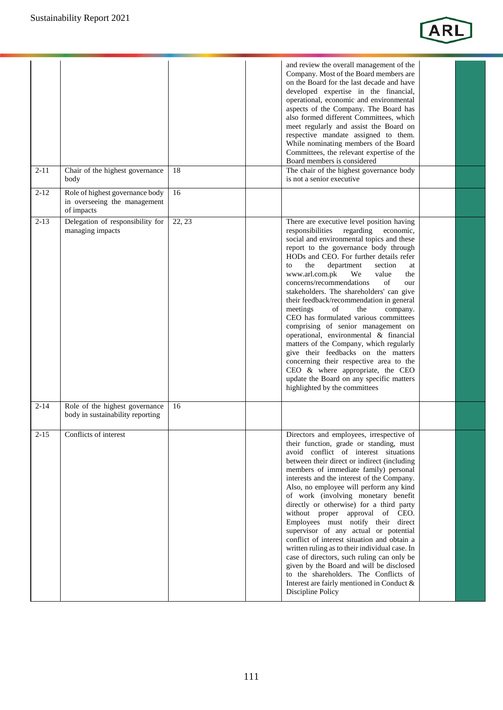

| $2 - 11$ | Chair of the highest governance                                    | 18     | and review the overall management of the<br>Company. Most of the Board members are<br>on the Board for the last decade and have<br>developed expertise in the financial,<br>operational, economic and environmental<br>aspects of the Company. The Board has<br>also formed different Committees, which<br>meet regularly and assist the Board on<br>respective mandate assigned to them.<br>While nominating members of the Board<br>Committees, the relevant expertise of the<br>Board members is considered<br>The chair of the highest governance body                                                                                                                                                                                                                                                                                                |
|----------|--------------------------------------------------------------------|--------|-----------------------------------------------------------------------------------------------------------------------------------------------------------------------------------------------------------------------------------------------------------------------------------------------------------------------------------------------------------------------------------------------------------------------------------------------------------------------------------------------------------------------------------------------------------------------------------------------------------------------------------------------------------------------------------------------------------------------------------------------------------------------------------------------------------------------------------------------------------|
| $2 - 12$ | body<br>Role of highest governance body                            | 16     | is not a senior executive                                                                                                                                                                                                                                                                                                                                                                                                                                                                                                                                                                                                                                                                                                                                                                                                                                 |
|          | in overseeing the management<br>of impacts                         |        |                                                                                                                                                                                                                                                                                                                                                                                                                                                                                                                                                                                                                                                                                                                                                                                                                                                           |
| $2 - 13$ | Delegation of responsibility for<br>managing impacts               | 22, 23 | There are executive level position having<br>responsibilities<br>regarding<br>economic,<br>social and environmental topics and these<br>report to the governance body through<br>HODs and CEO. For further details refer<br>the<br>department<br>section<br>to<br>at<br>www.arl.com.pk<br>We<br>value<br>the<br>concerns/recommendations<br>of<br>our<br>stakeholders. The shareholders' can give<br>their feedback/recommendation in general<br>meetings<br>of<br>the<br>company.<br>CEO has formulated various committees<br>comprising of senior management on<br>operational, environmental & financial<br>matters of the Company, which regularly<br>give their feedbacks on the matters<br>concerning their respective area to the<br>CEO & where appropriate, the CEO<br>update the Board on any specific matters<br>highlighted by the committees |
| $2 - 14$ | Role of the highest governance<br>body in sustainability reporting | 16     |                                                                                                                                                                                                                                                                                                                                                                                                                                                                                                                                                                                                                                                                                                                                                                                                                                                           |
| $2 - 15$ | Conflicts of interest                                              |        | Directors and employees, irrespective of<br>their function, grade or standing, must<br>avoid conflict of interest situations<br>between their direct or indirect (including<br>members of immediate family) personal<br>interests and the interest of the Company.<br>Also, no employee will perform any kind<br>of work (involving monetary benefit<br>directly or otherwise) for a third party<br>without proper approval of CEO.<br>Employees must notify their direct<br>supervisor of any actual or potential<br>conflict of interest situation and obtain a<br>written ruling as to their individual case. In<br>case of directors, such ruling can only be<br>given by the Board and will be disclosed<br>to the shareholders. The Conflicts of<br>Interest are fairly mentioned in Conduct &<br>Discipline Policy                                 |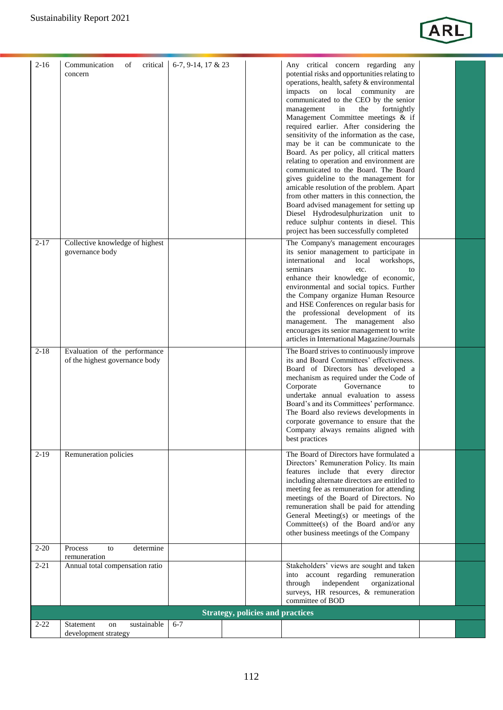

| $2-16$   | Communication<br>of<br>critical<br>concern                      | 6-7, 9-14, 17 & 23 |                                         | Any critical concern regarding any<br>potential risks and opportunities relating to<br>operations, health, safety & environmental<br>impacts on local community<br>are<br>communicated to the CEO by the senior<br>in<br>the<br>fortnightly<br>management<br>Management Committee meetings & if<br>required earlier. After considering the<br>sensitivity of the information as the case,<br>may be it can be communicate to the<br>Board. As per policy, all critical matters<br>relating to operation and environment are<br>communicated to the Board. The Board<br>gives guideline to the management for<br>amicable resolution of the problem. Apart<br>from other matters in this connection, the<br>Board advised management for setting up<br>Diesel Hydrodesulphurization unit to<br>reduce sulphur contents in diesel. This<br>project has been successfully completed |  |
|----------|-----------------------------------------------------------------|--------------------|-----------------------------------------|----------------------------------------------------------------------------------------------------------------------------------------------------------------------------------------------------------------------------------------------------------------------------------------------------------------------------------------------------------------------------------------------------------------------------------------------------------------------------------------------------------------------------------------------------------------------------------------------------------------------------------------------------------------------------------------------------------------------------------------------------------------------------------------------------------------------------------------------------------------------------------|--|
| $2 - 17$ | Collective knowledge of highest<br>governance body              |                    |                                         | The Company's management encourages<br>its senior management to participate in<br>international<br>and<br>local workshops,<br>seminars<br>etc.<br>to<br>enhance their knowledge of economic,<br>environmental and social topics. Further<br>the Company organize Human Resource<br>and HSE Conferences on regular basis for<br>the professional development of its<br>management. The management also<br>encourages its senior management to write<br>articles in International Magazine/Journals                                                                                                                                                                                                                                                                                                                                                                                |  |
| $2 - 18$ | Evaluation of the performance<br>of the highest governance body |                    |                                         | The Board strives to continuously improve<br>its and Board Committees' effectiveness.<br>Board of Directors has developed a<br>mechanism as required under the Code of<br>Corporate<br>Governance<br>to<br>undertake annual evaluation to assess<br>Board's and its Committees' performance.<br>The Board also reviews developments in<br>corporate governance to ensure that the<br>Company always remains aligned with<br>best practices                                                                                                                                                                                                                                                                                                                                                                                                                                       |  |
| $2-19$   | Remuneration policies                                           |                    |                                         | The Board of Directors have formulated a<br>Directors' Remuneration Policy. Its main<br>features include that every director<br>including alternate directors are entitled to<br>meeting fee as remuneration for attending<br>meetings of the Board of Directors. No<br>remuneration shall be paid for attending<br>General Meeting(s) or meetings of the<br>Committee(s) of the Board and/or any<br>other business meetings of the Company                                                                                                                                                                                                                                                                                                                                                                                                                                      |  |
| $2 - 20$ | Process<br>determine<br>to<br>remuneration                      |                    |                                         |                                                                                                                                                                                                                                                                                                                                                                                                                                                                                                                                                                                                                                                                                                                                                                                                                                                                                  |  |
| $2 - 21$ | Annual total compensation ratio                                 |                    |                                         | Stakeholders' views are sought and taken<br>into account regarding remuneration<br>independent<br>through<br>organizational<br>surveys, HR resources, & remuneration<br>committee of BOD                                                                                                                                                                                                                                                                                                                                                                                                                                                                                                                                                                                                                                                                                         |  |
|          |                                                                 |                    | <b>Strategy, policies and practices</b> |                                                                                                                                                                                                                                                                                                                                                                                                                                                                                                                                                                                                                                                                                                                                                                                                                                                                                  |  |
| $2 - 22$ | sustainable<br>Statement<br>on                                  | $6 - 7$            |                                         |                                                                                                                                                                                                                                                                                                                                                                                                                                                                                                                                                                                                                                                                                                                                                                                                                                                                                  |  |
|          | development strategy                                            |                    |                                         |                                                                                                                                                                                                                                                                                                                                                                                                                                                                                                                                                                                                                                                                                                                                                                                                                                                                                  |  |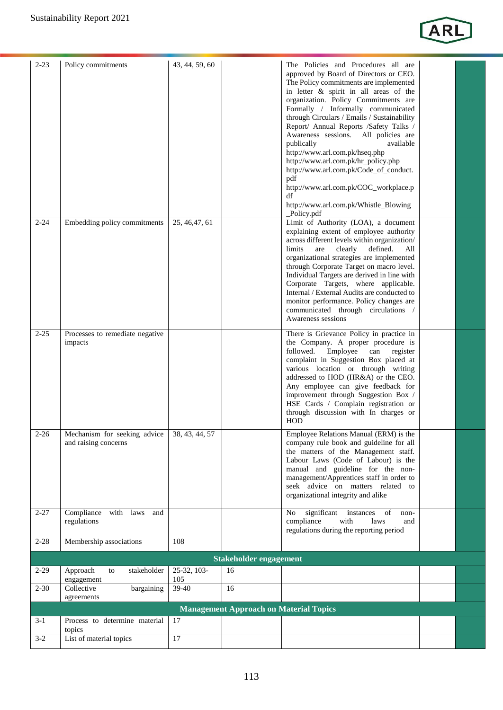

| $2 - 23$ | Policy commitments                                                  | 43, 44, 59, 60     |                                               | The Policies and Procedures all are<br>approved by Board of Directors or CEO.<br>The Policy commitments are implemented<br>in letter & spirit in all areas of the<br>organization. Policy Commitments are<br>Formally / Informally communicated<br>through Circulars / Emails / Sustainability<br>Report/ Annual Reports /Safety Talks /<br>Awareness sessions. All policies are<br>publically<br>available<br>http://www.arl.com.pk/hseq.php<br>http://www.arl.com.pk/hr_policy.php<br>http://www.arl.com.pk/Code_of_conduct.<br>pdf<br>http://www.arl.com.pk/COC_workplace.p<br>df<br>http://www.arl.com.pk/Whistle_Blowing<br>_Policy.pdf |  |
|----------|---------------------------------------------------------------------|--------------------|-----------------------------------------------|----------------------------------------------------------------------------------------------------------------------------------------------------------------------------------------------------------------------------------------------------------------------------------------------------------------------------------------------------------------------------------------------------------------------------------------------------------------------------------------------------------------------------------------------------------------------------------------------------------------------------------------------|--|
| $2 - 24$ | Embedding policy commitments                                        | 25, 46, 47, 61     |                                               | Limit of Authority (LOA), a document<br>explaining extent of employee authority<br>across different levels within organization/<br>defined.<br>limits<br>are<br>clearly<br>All<br>organizational strategies are implemented<br>through Corporate Target on macro level.<br>Individual Targets are derived in line with<br>Corporate Targets, where applicable.<br>Internal / External Audits are conducted to<br>monitor performance. Policy changes are<br>communicated through circulations /<br>Awareness sessions                                                                                                                        |  |
| $2 - 25$ | Processes to remediate negative<br>impacts                          |                    |                                               | There is Grievance Policy in practice in<br>the Company. A proper procedure is<br>followed.<br>Employee<br>register<br>can<br>complaint in Suggestion Box placed at<br>various location or through writing<br>addressed to HOD (HR&A) or the CEO.<br>Any employee can give feedback for<br>improvement through Suggestion Box /<br>HSE Cards / Complain registration or<br>through discussion with In charges or<br>HOD                                                                                                                                                                                                                      |  |
| $2 - 26$ | Mechanism for seeking advice 38, 43, 44, 57<br>and raising concerns |                    |                                               | Employee Relations Manual (ERM) is the<br>company rule book and guideline for all<br>the matters of the Management staff.<br>Labour Laws (Code of Labour) is the<br>manual and guideline for the non-<br>management/Apprentices staff in order to<br>seek advice on matters related to<br>organizational integrity and alike                                                                                                                                                                                                                                                                                                                 |  |
| $2 - 27$ | Compliance<br>with laws<br>and<br>regulations                       |                    |                                               | significant<br>of<br>No<br>instances<br>non-<br>compliance<br>with<br>laws<br>and<br>regulations during the reporting period                                                                                                                                                                                                                                                                                                                                                                                                                                                                                                                 |  |
| $2 - 28$ | Membership associations                                             | 108                |                                               |                                                                                                                                                                                                                                                                                                                                                                                                                                                                                                                                                                                                                                              |  |
|          |                                                                     |                    | <b>Stakeholder engagement</b>                 |                                                                                                                                                                                                                                                                                                                                                                                                                                                                                                                                                                                                                                              |  |
| $2-29$   | Approach<br>stakeholder<br>to<br>engagement                         | 25-32, 103-<br>105 | 16                                            |                                                                                                                                                                                                                                                                                                                                                                                                                                                                                                                                                                                                                                              |  |
| $2 - 30$ | Collective<br>bargaining<br>agreements                              | 39-40              | 16                                            |                                                                                                                                                                                                                                                                                                                                                                                                                                                                                                                                                                                                                                              |  |
|          |                                                                     |                    | <b>Management Approach on Material Topics</b> |                                                                                                                                                                                                                                                                                                                                                                                                                                                                                                                                                                                                                                              |  |
| $3 - 1$  | Process to determine material<br>topics                             | 17                 |                                               |                                                                                                                                                                                                                                                                                                                                                                                                                                                                                                                                                                                                                                              |  |
| $3-2$    | List of material topics                                             | 17                 |                                               |                                                                                                                                                                                                                                                                                                                                                                                                                                                                                                                                                                                                                                              |  |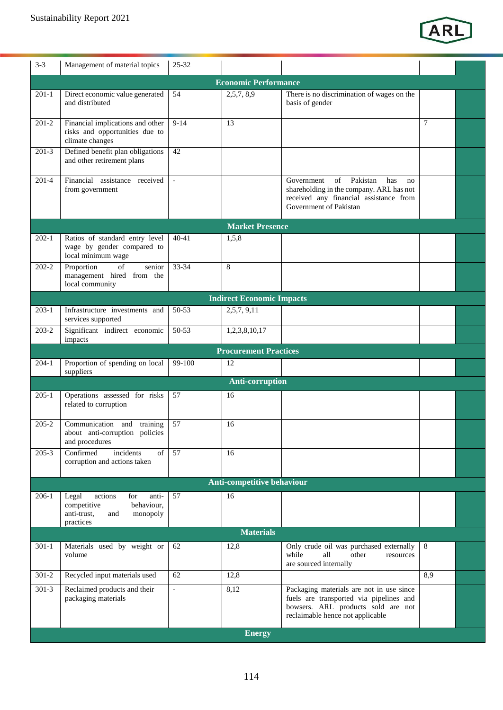

| $3 - 3$   | Management of material topics                                                                                | $25 - 32$      |                                  |                                                                                                                                                               |     |  |
|-----------|--------------------------------------------------------------------------------------------------------------|----------------|----------------------------------|---------------------------------------------------------------------------------------------------------------------------------------------------------------|-----|--|
|           |                                                                                                              |                | <b>Economic Performance</b>      |                                                                                                                                                               |     |  |
| $201-1$   | Direct economic value generated<br>and distributed                                                           | 54             | 2,5,7,8,9                        | There is no discrimination of wages on the<br>basis of gender                                                                                                 |     |  |
| $201-2$   | Financial implications and other<br>risks and opportunities due to<br>climate changes                        | $9 - 14$       | 13                               |                                                                                                                                                               | 7   |  |
| $201-3$   | Defined benefit plan obligations<br>and other retirement plans                                               | 42             |                                  |                                                                                                                                                               |     |  |
| $201-4$   | Financial assistance received<br>from government                                                             | $\mathbf{r}$   |                                  | Pakistan<br>Government<br>of<br>has<br>no<br>shareholding in the company. ARL has not<br>received any financial assistance from<br>Government of Pakistan     |     |  |
|           |                                                                                                              |                | <b>Market Presence</b>           |                                                                                                                                                               |     |  |
| $202-1$   | Ratios of standard entry level<br>wage by gender compared to<br>local minimum wage                           | $40 - 41$      | 1,5,8                            |                                                                                                                                                               |     |  |
| $202 - 2$ | Proportion<br>of<br>senior<br>management hired from the<br>local community                                   | 33-34          | 8                                |                                                                                                                                                               |     |  |
|           |                                                                                                              |                | <b>Indirect Economic Impacts</b> |                                                                                                                                                               |     |  |
| $203-1$   | Infrastructure investments and<br>services supported                                                         | 50-53          | 2,5,7, 9,11                      |                                                                                                                                                               |     |  |
| $203 - 2$ | Significant indirect economic<br>impacts                                                                     | 50-53          | 1,2,3,8,10,17                    |                                                                                                                                                               |     |  |
|           |                                                                                                              |                | <b>Procurement Practices</b>     |                                                                                                                                                               |     |  |
| $204-1$   | Proportion of spending on local<br>suppliers                                                                 | 99-100         | 12                               |                                                                                                                                                               |     |  |
|           |                                                                                                              |                | <b>Anti-corruption</b>           |                                                                                                                                                               |     |  |
| $205-1$   | Operations assessed for risks<br>related to corruption                                                       | 57             | 16                               |                                                                                                                                                               |     |  |
| $205 - 2$ | Communication and training<br>about anti-corruption policies<br>and procedures                               | 57             | 16                               |                                                                                                                                                               |     |  |
| $205 - 3$ | Confirmed<br>incidents<br>of<br>corruption and actions taken                                                 | 57             | 16                               |                                                                                                                                                               |     |  |
|           |                                                                                                              |                | Anti-competitive behaviour       |                                                                                                                                                               |     |  |
| 206-1     | Legal<br>actions<br>for<br>anti-<br>competitive<br>behaviour,<br>anti-trust,<br>monopoly<br>and<br>practices | 57             | 16                               |                                                                                                                                                               |     |  |
|           |                                                                                                              |                | <b>Materials</b>                 |                                                                                                                                                               |     |  |
| $301-1$   | Materials used by weight or<br>volume                                                                        | 62             | 12,8                             | Only crude oil was purchased externally<br>all<br>while<br>other<br>resources<br>are sourced internally                                                       | 8   |  |
| $301 - 2$ | Recycled input materials used                                                                                | 62             | 12,8                             |                                                                                                                                                               | 8,9 |  |
| $301-3$   | Reclaimed products and their<br>packaging materials                                                          | $\blacksquare$ | 8,12<br><b>Energy</b>            | Packaging materials are not in use since<br>fuels are transported via pipelines and<br>bowsers. ARL products sold are not<br>reclaimable hence not applicable |     |  |
|           |                                                                                                              |                |                                  |                                                                                                                                                               |     |  |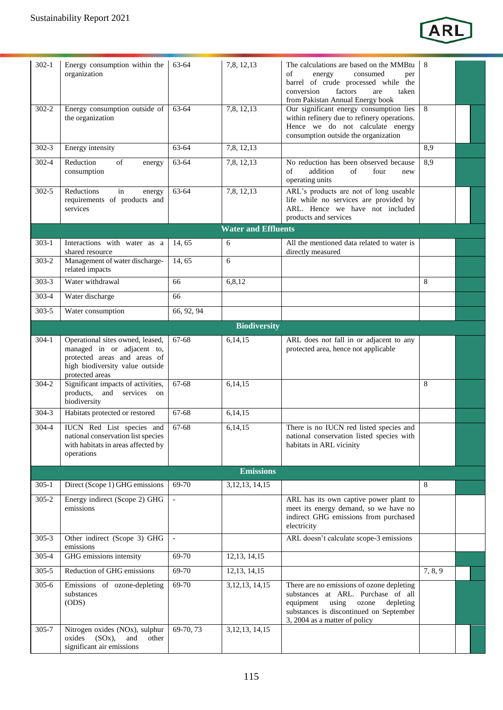

| $302-1$   | Energy consumption within the<br>organization                                                                       | 63-64      | 7,8, 12, 13                | The calculations are based on the MMBtu<br>of<br>energy<br>consumed<br>per<br>barrel of crude processed while the<br>factors<br>conversion<br>are<br>taken<br>from Pakistan Annual Energy book          | 8       |  |
|-----------|---------------------------------------------------------------------------------------------------------------------|------------|----------------------------|---------------------------------------------------------------------------------------------------------------------------------------------------------------------------------------------------------|---------|--|
| $302 - 2$ | Energy consumption outside of<br>the organization                                                                   | 63-64      | 7,8,12,13                  | Our significant energy consumption lies<br>within refinery due to refinery operations.<br>Hence we do not calculate energy<br>consumption outside the organization                                      | 8       |  |
| $302 - 3$ | Energy intensity                                                                                                    | 63-64      | 7,8, 12, 13                |                                                                                                                                                                                                         | 8,9     |  |
| 302-4     | Reduction<br>of<br>energy<br>consumption                                                                            | 63-64      | 7,8, 12, 13                | No reduction has been observed because<br>addition<br>of<br>of<br>four<br>new<br>operating units                                                                                                        | 8,9     |  |
| $302 - 5$ | Reductions<br>in<br>energy<br>requirements of products and<br>services                                              | 63-64      | 7,8, 12, 13                | ARL's products are not of long useable<br>life while no services are provided by<br>ARL. Hence we have not included<br>products and services                                                            |         |  |
|           |                                                                                                                     |            | <b>Water and Effluents</b> |                                                                                                                                                                                                         |         |  |
| $303-1$   | Interactions with water as a<br>shared resource                                                                     | 14, 65     | 6                          | All the mentioned data related to water is<br>directly measured                                                                                                                                         |         |  |
| $303 - 2$ | Management of water discharge-<br>related impacts                                                                   | 14,65      | 6                          |                                                                                                                                                                                                         |         |  |
| $303 - 3$ | Water withdrawal                                                                                                    | 66         | 6,8,12                     |                                                                                                                                                                                                         | 8       |  |
| 303-4     | Water discharge                                                                                                     | 66         |                            |                                                                                                                                                                                                         |         |  |
| 303-5     | Water consumption                                                                                                   | 66, 92, 94 |                            |                                                                                                                                                                                                         |         |  |
|           |                                                                                                                     |            | <b>Biodiversity</b>        |                                                                                                                                                                                                         |         |  |
| $304-1$   | Operational sites owned, leased,                                                                                    | 67-68      | 6,14,15                    | ARL does not fall in or adjacent to any                                                                                                                                                                 |         |  |
|           | managed in or adjacent to,<br>protected areas and areas of<br>high biodiversity value outside<br>protected areas    |            |                            | protected area, hence not applicable                                                                                                                                                                    |         |  |
| 304-2     | Significant impacts of activities,<br>products, and services on<br>biodiversity                                     | 67-68      | 6,14,15                    |                                                                                                                                                                                                         | 8       |  |
| $304 - 3$ | Habitats protected or restored                                                                                      | 67-68      | 6,14,15                    |                                                                                                                                                                                                         |         |  |
| 304-4     | IUCN Red List species and<br>national conservation list species<br>with habitats in areas affected by<br>operations | 67-68      | 6,14,15                    | There is no IUCN red listed species and<br>national conservation listed species with<br>habitats in ARL vicinity                                                                                        |         |  |
|           |                                                                                                                     |            | <b>Emissions</b>           |                                                                                                                                                                                                         |         |  |
| $305-1$   | Direct (Scope 1) GHG emissions                                                                                      | 69-70      | 3,12,13,14,15              |                                                                                                                                                                                                         | 8       |  |
| $305 - 2$ | Energy indirect (Scope 2) GHG<br>emissions                                                                          |            |                            | ARL has its own captive power plant to<br>meet its energy demand, so we have no<br>indirect GHG emissions from purchased<br>electricity                                                                 |         |  |
| $305 - 3$ | Other indirect (Scope 3) GHG<br>emissions                                                                           | $\sim$     |                            | ARL doesn't calculate scope-3 emissions                                                                                                                                                                 |         |  |
| 305-4     | GHG emissions intensity                                                                                             | 69-70      | 12, 13, 14, 15             |                                                                                                                                                                                                         |         |  |
| $305 - 5$ | Reduction of GHG emissions                                                                                          | 69-70      | 12, 13, 14, 15             |                                                                                                                                                                                                         | 7, 8, 9 |  |
| $305 - 6$ | Emissions of ozone-depleting<br>substances<br>(ODS)                                                                 | 69-70      | 3, 12, 13, 14, 15          | There are no emissions of ozone depleting<br>substances at ARL. Purchase of all<br>equipment<br>using<br>ozone<br>depleting<br>substances is discontinued on September<br>3, 2004 as a matter of policy |         |  |
| $305 - 7$ | Nitrogen oxides (NOx), sulphur<br>(SOx),<br>oxides<br>and<br>other<br>significant air emissions                     | 69-70, 73  | 3, 12, 13, 14, 15          |                                                                                                                                                                                                         |         |  |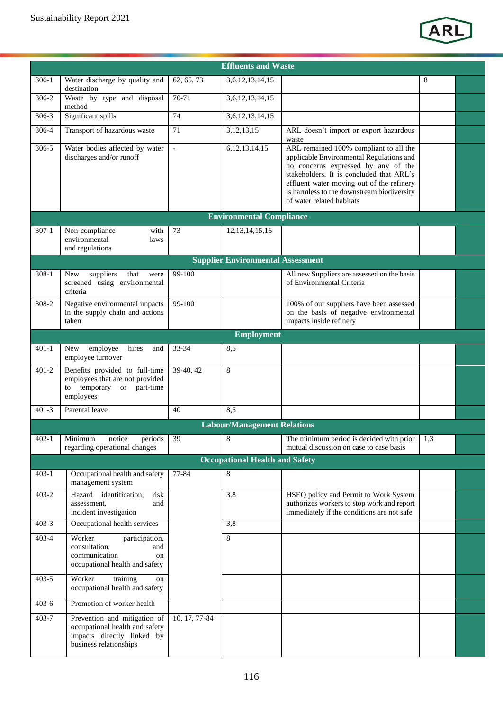

|           |                                                                                                                        |                | <b>Effluents and Waste</b>               |                                                                                                                                                                                                                                                                                               |     |  |
|-----------|------------------------------------------------------------------------------------------------------------------------|----------------|------------------------------------------|-----------------------------------------------------------------------------------------------------------------------------------------------------------------------------------------------------------------------------------------------------------------------------------------------|-----|--|
| $306-1$   | Water discharge by quality and                                                                                         | 62, 65, 73     | 3,6,12,13,14,15                          |                                                                                                                                                                                                                                                                                               | 8   |  |
| 306-2     | destination<br>Waste by type and disposal                                                                              | $70-71$        | 3,6,12,13,14,15                          |                                                                                                                                                                                                                                                                                               |     |  |
|           | method                                                                                                                 |                |                                          |                                                                                                                                                                                                                                                                                               |     |  |
| $306 - 3$ | Significant spills                                                                                                     | 74             | 3,6,12,13,14,15                          |                                                                                                                                                                                                                                                                                               |     |  |
| 306-4     | Transport of hazardous waste                                                                                           | 71             | 3,12,13,15                               | ARL doesn't import or export hazardous<br>waste                                                                                                                                                                                                                                               |     |  |
| $306 - 5$ | Water bodies affected by water<br>discharges and/or runoff                                                             | $\blacksquare$ | 6, 12, 13, 14, 15                        | ARL remained 100% compliant to all the<br>applicable Environmental Regulations and<br>no concerns expressed by any of the<br>stakeholders. It is concluded that ARL's<br>effluent water moving out of the refinery<br>is harmless to the downstream biodiversity<br>of water related habitats |     |  |
|           |                                                                                                                        |                | <b>Environmental Compliance</b>          |                                                                                                                                                                                                                                                                                               |     |  |
| $307-1$   | Non-compliance<br>with<br>environmental<br>laws<br>and regulations                                                     | 73             | 12, 13, 14, 15, 16                       |                                                                                                                                                                                                                                                                                               |     |  |
|           |                                                                                                                        |                | <b>Supplier Environmental Assessment</b> |                                                                                                                                                                                                                                                                                               |     |  |
| $308-1$   | suppliers<br>that<br><b>New</b><br>were<br>screened using environmental<br>criteria                                    | 99-100         |                                          | All new Suppliers are assessed on the basis<br>of Environmental Criteria                                                                                                                                                                                                                      |     |  |
| 308-2     | Negative environmental impacts<br>in the supply chain and actions<br>taken                                             | 99-100         |                                          | 100% of our suppliers have been assessed<br>on the basis of negative environmental<br>impacts inside refinery                                                                                                                                                                                 |     |  |
|           |                                                                                                                        |                | <b>Employment</b>                        |                                                                                                                                                                                                                                                                                               |     |  |
| $401-1$   | hires<br>employee<br>New<br>and<br>employee turnover                                                                   | 33-34          | 8,5                                      |                                                                                                                                                                                                                                                                                               |     |  |
| $401 - 2$ | Benefits provided to full-time<br>employees that are not provided<br>to temporary or part-time<br>employees            | 39-40, 42      | 8                                        |                                                                                                                                                                                                                                                                                               |     |  |
| $401 - 3$ | Parental leave                                                                                                         | 40             | 8.5                                      |                                                                                                                                                                                                                                                                                               |     |  |
|           |                                                                                                                        |                | <b>Labour/Management Relations</b>       |                                                                                                                                                                                                                                                                                               |     |  |
| $402 - 1$ | notice<br>Minimum<br>periods<br>regarding operational changes                                                          | 39             | 8                                        | The minimum period is decided with prior<br>mutual discussion on case to case basis                                                                                                                                                                                                           | 1,3 |  |
|           |                                                                                                                        |                | <b>Occupational Health and Safety</b>    |                                                                                                                                                                                                                                                                                               |     |  |
| $403 - 1$ | Occupational health and safety<br>management system                                                                    | 77-84          | 8                                        |                                                                                                                                                                                                                                                                                               |     |  |
| $403 - 2$ | Hazard identification,<br>risk<br>assessment.<br>and<br>incident investigation                                         |                | 3,8                                      | HSEQ policy and Permit to Work System<br>authorizes workers to stop work and report<br>immediately if the conditions are not safe                                                                                                                                                             |     |  |
| $403 - 3$ | Occupational health services                                                                                           |                | 3,8                                      |                                                                                                                                                                                                                                                                                               |     |  |
| $403 - 4$ | Worker<br>participation,<br>consultation,<br>and<br>communication<br>on<br>occupational health and safety              |                | 8                                        |                                                                                                                                                                                                                                                                                               |     |  |
| $403 - 5$ | Worker<br>training<br>on<br>occupational health and safety                                                             |                |                                          |                                                                                                                                                                                                                                                                                               |     |  |
| $403 - 6$ | Promotion of worker health                                                                                             |                |                                          |                                                                                                                                                                                                                                                                                               |     |  |
| 403-7     | Prevention and mitigation of<br>occupational health and safety<br>impacts directly linked by<br>business relationships | 10, 17, 77-84  |                                          |                                                                                                                                                                                                                                                                                               |     |  |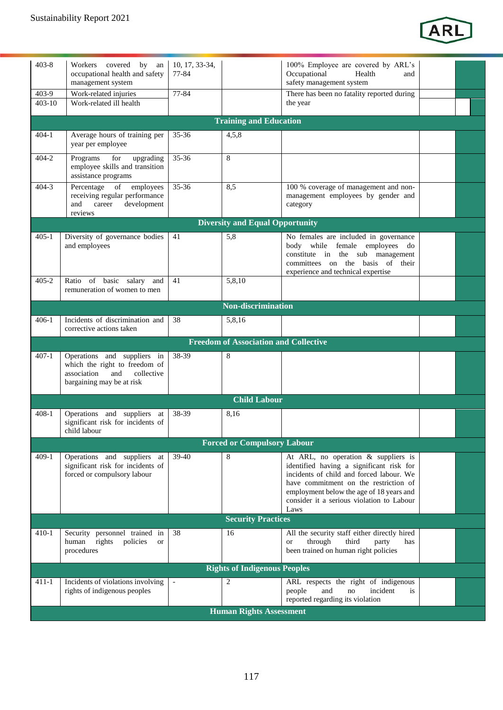

| $403 - 8$  | Workers covered<br>by an                                                                                  | 10, 17, 33-34, |                                              | 100% Employee are covered by ARL's                                                                                                                                                                                             |  |
|------------|-----------------------------------------------------------------------------------------------------------|----------------|----------------------------------------------|--------------------------------------------------------------------------------------------------------------------------------------------------------------------------------------------------------------------------------|--|
|            | occupational health and safety                                                                            | 77-84          |                                              | Occupational<br>Health<br>and                                                                                                                                                                                                  |  |
|            | management system                                                                                         |                |                                              | safety management system                                                                                                                                                                                                       |  |
| 403-9      | Work-related injuries                                                                                     | $77 - 84$      |                                              | There has been no fatality reported during                                                                                                                                                                                     |  |
| $403 - 10$ | Work-related ill health                                                                                   |                |                                              | the year                                                                                                                                                                                                                       |  |
|            |                                                                                                           |                |                                              |                                                                                                                                                                                                                                |  |
|            |                                                                                                           |                | <b>Training and Education</b>                |                                                                                                                                                                                                                                |  |
| $404 - 1$  | Average hours of training per                                                                             | $35 - 36$      | 4,5,8                                        |                                                                                                                                                                                                                                |  |
|            | year per employee                                                                                         |                |                                              |                                                                                                                                                                                                                                |  |
| $404 - 2$  | for<br>upgrading<br>Programs<br>employee skills and transition                                            | 35-36          | 8                                            |                                                                                                                                                                                                                                |  |
|            | assistance programs                                                                                       |                |                                              |                                                                                                                                                                                                                                |  |
| $404 - 3$  | Percentage<br>of<br>employees<br>receiving regular performance<br>development<br>and<br>career<br>reviews | $35 - 36$      | 8,5                                          | 100 % coverage of management and non-<br>management employees by gender and<br>category                                                                                                                                        |  |
|            |                                                                                                           |                | <b>Diversity and Equal Opportunity</b>       |                                                                                                                                                                                                                                |  |
| $405 - 1$  | Diversity of governance bodies                                                                            | 41             | 5,8                                          | No females are included in governance                                                                                                                                                                                          |  |
|            | and employees                                                                                             |                |                                              | body while female employees<br>do<br>constitute in the sub management<br>committees on the basis of their<br>experience and technical expertise                                                                                |  |
| 405-2      | Ratio of basic salary<br>and<br>remuneration of women to men                                              | 41             | 5,8,10                                       |                                                                                                                                                                                                                                |  |
|            |                                                                                                           |                | <b>Non-discrimination</b>                    |                                                                                                                                                                                                                                |  |
| 406-1      | Incidents of discrimination and<br>corrective actions taken                                               | 38             | 5,8,16                                       |                                                                                                                                                                                                                                |  |
|            |                                                                                                           |                | <b>Freedom of Association and Collective</b> |                                                                                                                                                                                                                                |  |
| $407 - 1$  | Operations and suppliers in                                                                               | 38-39          | 8                                            |                                                                                                                                                                                                                                |  |
|            | which the right to freedom of<br>collective<br>association<br>and<br>bargaining may be at risk            |                |                                              |                                                                                                                                                                                                                                |  |
|            |                                                                                                           |                | <b>Child Labour</b>                          |                                                                                                                                                                                                                                |  |
| 408-1      | Operations and suppliers at                                                                               | 38-39          | 8,16                                         |                                                                                                                                                                                                                                |  |
|            | significant risk for incidents of<br>child labour                                                         |                |                                              |                                                                                                                                                                                                                                |  |
|            |                                                                                                           |                | <b>Forced or Compulsory Labour</b>           |                                                                                                                                                                                                                                |  |
| $409-1$    | Operations and suppliers<br>at                                                                            | $39 - 40$      | 8                                            | At ARL, no operation & suppliers is                                                                                                                                                                                            |  |
|            | significant risk for incidents of<br>forced or compulsory labour                                          |                |                                              | identified having a significant risk for<br>incidents of child and forced labour. We<br>have commitment on the restriction of<br>employment below the age of 18 years and<br>consider it a serious violation to Labour<br>Laws |  |
|            |                                                                                                           |                | <b>Security Practices</b>                    |                                                                                                                                                                                                                                |  |
| $410-1$    | Security personnel trained in<br>rights<br>policies<br>human<br><b>or</b><br>procedures                   | 38             | 16                                           | All the security staff either directly hired<br>third<br>through<br>party<br>has<br>or<br>been trained on human right policies                                                                                                 |  |
|            |                                                                                                           |                | <b>Rights of Indigenous Peoples</b>          |                                                                                                                                                                                                                                |  |
| 411-1      | Incidents of violations involving                                                                         |                | 2                                            | ARL respects the right of indigenous                                                                                                                                                                                           |  |
|            | rights of indigenous peoples                                                                              |                |                                              | and<br>incident<br>people<br>no<br>is<br>reported regarding its violation                                                                                                                                                      |  |
|            |                                                                                                           |                | <b>Human Rights Assessment</b>               |                                                                                                                                                                                                                                |  |
|            |                                                                                                           |                |                                              |                                                                                                                                                                                                                                |  |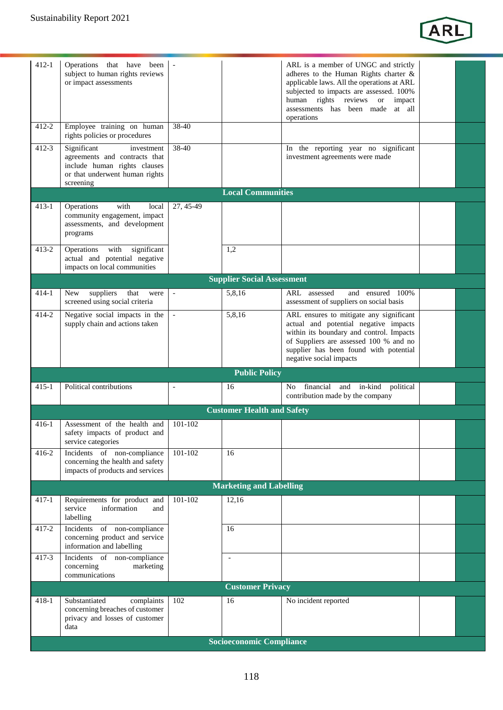

| $412 - 1$ | Operations that have been<br>subject to human rights reviews<br>or impact assessments                                                     |                |                                   | ARL is a member of UNGC and strictly<br>adheres to the Human Rights charter &<br>applicable laws. All the operations at ARL<br>subjected to impacts are assessed. 100%<br>human rights reviews or<br>impact<br>assessments has been made at all<br>operations |  |
|-----------|-------------------------------------------------------------------------------------------------------------------------------------------|----------------|-----------------------------------|---------------------------------------------------------------------------------------------------------------------------------------------------------------------------------------------------------------------------------------------------------------|--|
| $412 - 2$ | Employee training on human<br>rights policies or procedures                                                                               | 38-40          |                                   |                                                                                                                                                                                                                                                               |  |
| $412 - 3$ | Significant<br>investment<br>agreements and contracts that<br>include human rights clauses<br>or that underwent human rights<br>screening | 38-40          |                                   | In the reporting year no significant<br>investment agreements were made                                                                                                                                                                                       |  |
|           |                                                                                                                                           |                | <b>Local Communities</b>          |                                                                                                                                                                                                                                                               |  |
| $413-1$   | Operations<br>with<br>local<br>community engagement, impact<br>assessments, and development<br>programs                                   | 27, 45-49      |                                   |                                                                                                                                                                                                                                                               |  |
| $413 - 2$ | significant<br>Operations<br>with<br>actual and potential negative<br>impacts on local communities                                        |                | 1,2                               |                                                                                                                                                                                                                                                               |  |
|           |                                                                                                                                           |                | <b>Supplier Social Assessment</b> |                                                                                                                                                                                                                                                               |  |
| $414-1$   | suppliers<br>that<br>New<br>were<br>screened using social criteria                                                                        | $\blacksquare$ | 5,8,16                            | ARL assessed<br>and ensured 100%<br>assessment of suppliers on social basis                                                                                                                                                                                   |  |
| $414 - 2$ | Negative social impacts in the<br>supply chain and actions taken                                                                          | $\sim$         | 5,8,16                            | ARL ensures to mitigate any significant<br>actual and potential negative impacts<br>within its boundary and control. Impacts<br>of Suppliers are assessed 100 % and no<br>supplier has been found with potential<br>negative social impacts                   |  |
|           |                                                                                                                                           |                | <b>Public Policy</b>              |                                                                                                                                                                                                                                                               |  |
| $415 - 1$ | Political contributions                                                                                                                   | $\overline{a}$ | 16                                | financial and in-kind political<br>No<br>contribution made by the company                                                                                                                                                                                     |  |
|           |                                                                                                                                           |                | <b>Customer Health and Safety</b> |                                                                                                                                                                                                                                                               |  |
| 416-1     | Assessment of the health and<br>safety impacts of product and<br>service categories                                                       | 101-102        |                                   |                                                                                                                                                                                                                                                               |  |
| $416 - 2$ | Incidents of non-compliance<br>concerning the health and safety<br>impacts of products and services                                       | 101-102        | 16                                |                                                                                                                                                                                                                                                               |  |
|           |                                                                                                                                           |                | <b>Marketing and Labelling</b>    |                                                                                                                                                                                                                                                               |  |
| $417 - 1$ | Requirements for product and<br>service<br>information<br>and<br>labelling                                                                | 101-102        | 12,16                             |                                                                                                                                                                                                                                                               |  |
| 417-2     | Incidents of non-compliance<br>concerning product and service<br>information and labelling                                                |                | 16                                |                                                                                                                                                                                                                                                               |  |
| $417 - 3$ | Incidents of non-compliance<br>concerning<br>marketing<br>communications                                                                  |                | $\overline{a}$                    |                                                                                                                                                                                                                                                               |  |
|           |                                                                                                                                           |                | <b>Customer Privacy</b>           |                                                                                                                                                                                                                                                               |  |
| $418-1$   | Substantiated<br>complaints<br>concerning breaches of customer<br>privacy and losses of customer<br>data                                  | 102            | 16                                | No incident reported                                                                                                                                                                                                                                          |  |
|           |                                                                                                                                           |                | <b>Socioeconomic Compliance</b>   |                                                                                                                                                                                                                                                               |  |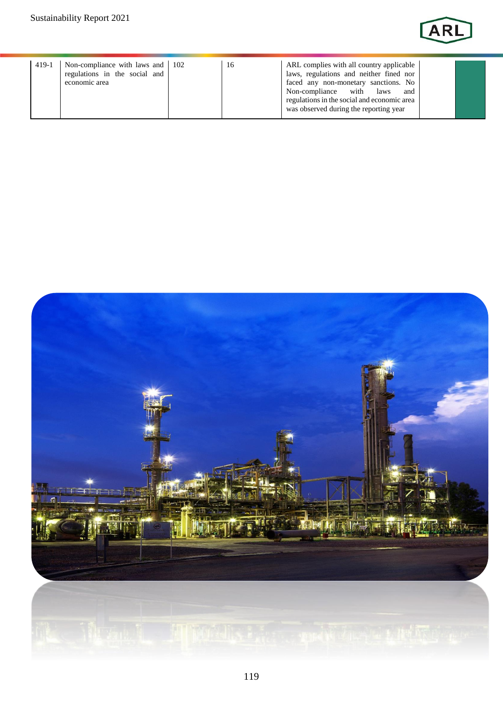

| $419-1$ | Non-compliance with laws and 102<br>regulations in the social and<br>economic area |  | 16 | ARL complies with all country applicable<br>laws, regulations and neither fined nor<br>faced any non-monetary sanctions. No<br>Non-compliance with laws<br>and<br>regulations in the social and economic area<br>was observed during the reporting year |  |  |
|---------|------------------------------------------------------------------------------------|--|----|---------------------------------------------------------------------------------------------------------------------------------------------------------------------------------------------------------------------------------------------------------|--|--|
|---------|------------------------------------------------------------------------------------|--|----|---------------------------------------------------------------------------------------------------------------------------------------------------------------------------------------------------------------------------------------------------------|--|--|